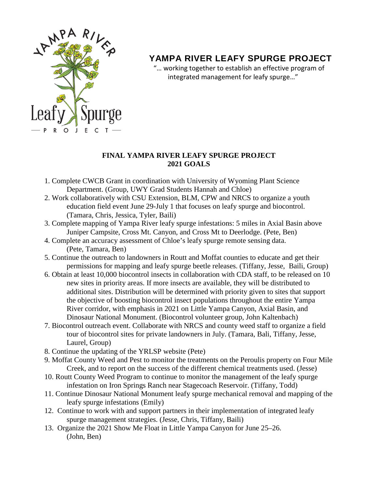

## **YAMPA RIVER LEAFY SPURGE PROJECT**

 "… working together to establish an effective program of integrated management for leafy spurge…"

## **FINAL YAMPA RIVER LEAFY SPURGE PROJECT 2021 GOALS**

- 1. Complete CWCB Grant in coordination with University of Wyoming Plant Science Department. (Group, UWY Grad Students Hannah and Chloe)
- 2. Work collaboratively with CSU Extension, BLM, CPW and NRCS to organize a youth education field event June 29-July 1 that focuses on leafy spurge and biocontrol. (Tamara, Chris, Jessica, Tyler, Baili)
- 3. Complete mapping of Yampa River leafy spurge infestations: 5 miles in Axial Basin above Juniper Campsite, Cross Mt. Canyon, and Cross Mt to Deerlodge. (Pete, Ben)
- 4. Complete an accuracy assessment of Chloe's leafy spurge remote sensing data. (Pete, Tamara, Ben)
- 5. Continue the outreach to landowners in Routt and Moffat counties to educate and get their permissions for mapping and leafy spurge beetle releases. (Tiffany, Jesse, Baili, Group)
- 6. Obtain at least 10,000 biocontrol insects in collaboration with CDA staff, to be released on 10 new sites in priority areas. If more insects are available, they will be distributed to additional sites. Distribution will be determined with priority given to sites that support the objective of boosting biocontrol insect populations throughout the entire Yampa River corridor, with emphasis in 2021 on Little Yampa Canyon, Axial Basin, and Dinosaur National Monument. (Biocontrol volunteer group, John Kaltenbach)
- 7. Biocontrol outreach event. Collaborate with NRCS and county weed staff to organize a field tour of biocontrol sites for private landowners in July. (Tamara, Bali, Tiffany, Jesse, Laurel, Group)
- 8. Continue the updating of the YRLSP website (Pete)
- 9. Moffat County Weed and Pest to monitor the treatments on the Peroulis property on Four Mile Creek, and to report on the success of the different chemical treatments used. (Jesse)
- 10. Routt County Weed Program to continue to monitor the management of the leafy spurge infestation on Iron Springs Ranch near Stagecoach Reservoir. (Tiffany, Todd)
- 11. Continue Dinosaur National Monument leafy spurge mechanical removal and mapping of the leafy spurge infestations (Emily)
- 12. Continue to work with and support partners in their implementation of integrated leafy spurge management strategies. (Jesse, Chris, Tiffany, Baili)
- 13. Organize the 2021 Show Me Float in Little Yampa Canyon for June 25–26. (John, Ben)